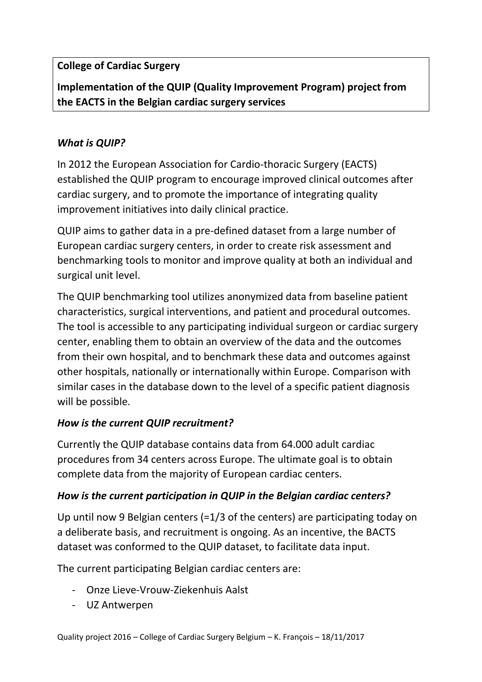# **College of Cardiac Surgery**

**Implementation of the QUIP (Quality Improvement Program) project from the EACTS in the Belgian cardiac surgery services**

## *What is QUIP?*

In 2012 the European Association for Cardio-thoracic Surgery (EACTS) established the QUIP program to encourage improved clinical outcomes after cardiac surgery, and to promote the importance of integrating quality improvement initiatives into daily clinical practice.

QUIP aims to gather data in a pre-defined dataset from a large number of European cardiac surgery centers, in order to create risk assessment and benchmarking tools to monitor and improve quality at both an individual and surgical unit level.

The QUIP benchmarking tool utilizes anonymized data from baseline patient characteristics, surgical interventions, and patient and procedural outcomes. The tool is accessible to any participating individual surgeon or cardiac surgery center, enabling them to obtain an overview of the data and the outcomes from their own hospital, and to benchmark these data and outcomes against other hospitals, nationally or internationally within Europe. Comparison with similar cases in the database down to the level of a specific patient diagnosis will be possible.

## *How is the current QUIP recruitment?*

Currently the QUIP database contains data from 64.000 adult cardiac procedures from 34 centers across Europe. The ultimate goal is to obtain complete data from the majority of European cardiac centers.

## *How is the current participation in QUIP in the Belgian cardiac centers?*

Up until now 9 Belgian centers (=1/3 of the centers) are participating today on a deliberate basis, and recruitment is ongoing. As an incentive, the BACTS dataset was conformed to the QUIP dataset, to facilitate data input.

The current participating Belgian cardiac centers are:

- Onze Lieve-Vrouw-Ziekenhuis Aalst
- UZ Antwerpen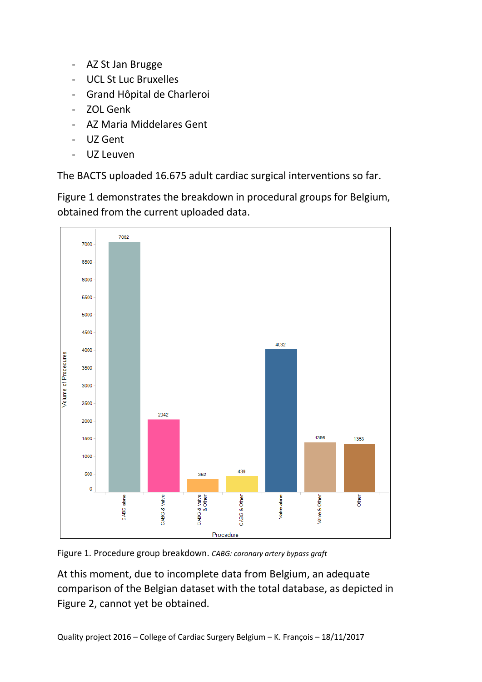- AZ St Jan Brugge
- UCL St Luc Bruxelles
- Grand Hôpital de Charleroi
- ZOL Genk
- AZ Maria Middelares Gent
- UZ Gent
- UZ Leuven

The BACTS uploaded 16.675 adult cardiac surgical interventions so far.

Figure 1 demonstrates the breakdown in procedural groups for Belgium, obtained from the current uploaded data.



Figure 1. Procedure group breakdown. *CABG: coronary artery bypass graft*

At this moment, due to incomplete data from Belgium, an adequate comparison of the Belgian dataset with the total database, as depicted in Figure 2, cannot yet be obtained.